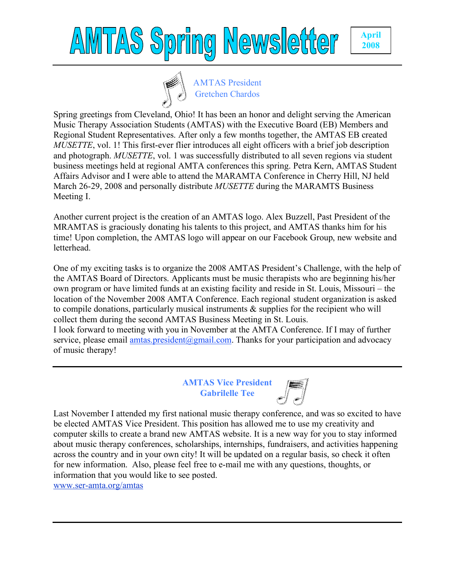## AWTAS Spring Newsletter





Spring greetings from Cleveland, Ohio! It has been an honor and delight serving the American Music Therapy Association Students (AMTAS) with the Executive Board (EB) Members and Regional Student Representatives. After only a few months together, the AMTAS EB created *MUSETTE*, vol. 1! This first-ever flier introduces all eight officers with a brief job description and photograph. *MUSETTE*, vol. 1 was successfully distributed to all seven regions via student business meetings held at regional AMTA conferences this spring. Petra Kern, AMTAS Student Affairs Advisor and I were able to attend the MARAMTA Conference in Cherry Hill, NJ held March 26-29, 2008 and personally distribute *MUSETTE* during the MARAMTS Business Meeting I.

Another current project is the creation of an AMTAS logo. Alex Buzzell, Past President of the MRAMTAS is graciously donating his talents to this project, and AMTAS thanks him for his time! Upon completion, the AMTAS logo will appear on our Facebook Group, new website and letterhead.

One of my exciting tasks is to organize the 2008 AMTAS President's Challenge, with the help of the AMTAS Board of Directors. Applicants must be music therapists who are beginning his/her own program or have limited funds at an existing facility and reside in St. Louis, Missouri – the location of the November 2008 AMTA Conference. Each regional student organization is asked to compile donations, particularly musical instruments & supplies for the recipient who will collect them during the second AMTAS Business Meeting in St. Louis.

I look forward to meeting with you in November at the AMTA Conference. If I may of further service, please email  $a$ mtas.president@gmail.com. Thanks for your participation and advocacy of music therapy!

> **AMTAS Vice President Gabrilelle Tee**



Last November I attended my first national music therapy conference, and was so excited to have be elected AMTAS Vice President. This position has allowed me to use my creativity and computer skills to create a brand new AMTAS website. It is a new way for you to stay informed about music therapy conferences, scholarships, internships, fundraisers, and activities happening across the country and in your own city! It will be updated on a regular basis, so check it often for new information. Also, please feel free to e-mail me with any questions, thoughts, or information that you would like to see posted.

www.ser-amta.org/amtas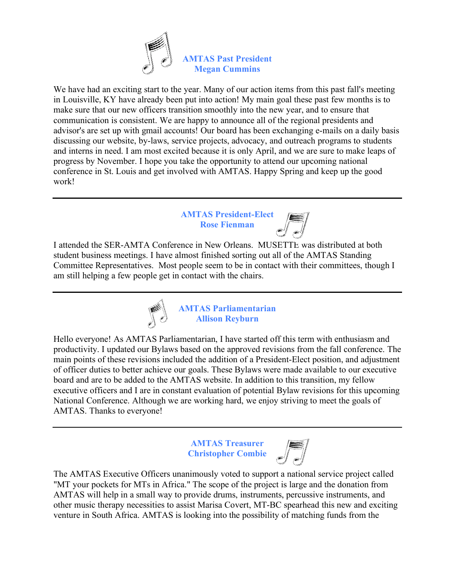

We have had an exciting start to the year. Many of our action items from this past fall's meeting in Louisville, KY have already been put into action! My main goal these past few months is to make sure that our new officers transition smoothly into the new year, and to ensure that communication is consistent. We are happy to announce all of the regional presidents and advisor's are set up with gmail accounts! Our board has been exchanging e-mails on a daily basis discussing our website, by-laws, service projects, advocacy, and outreach programs to students and interns in need. I am most excited because it is only April, and we are sure to make leaps of progress by November. I hope you take the opportunity to attend our upcoming national conference in St. Louis and get involved with AMTAS. Happy Spring and keep up the good work!

## **AMTAS President-Elect Rose Fienman**



I attended the SER-AMTA Conference in New Orleans. MUSETTE was distributed at both student business meetings. I have almost finished sorting out all of the AMTAS Standing Committee Representatives. Most people seem to be in contact with their committees, though I am still helping a few people get in contact with the chairs.



**AMTAS Parliamentarian Allison Reyburn**

Hello everyone! As AMTAS Parliamentarian, I have started off this term with enthusiasm and productivity. I updated our Bylaws based on the approved revisions from the fall conference. The main points of these revisions included the addition of a President-Elect position, and adjustment of officer duties to better achieve our goals. These Bylaws were made available to our executive board and are to be added to the AMTAS website. In addition to this transition, my fellow executive officers and I are in constant evaluation of potential Bylaw revisions for this upcoming National Conference. Although we are working hard, we enjoy striving to meet the goals of AMTAS. Thanks to everyone!

> **AMTAS Treasurer Christopher Combie**



The AMTAS Executive Officers unanimously voted to support a national service project called "MT your pockets for MTs in Africa." The scope of the project is large and the donation from AMTAS will help in a small way to provide drums, instruments, percussive instruments, and other music therapy necessities to assist Marisa Covert, MT-BC spearhead this new and exciting venture in South Africa. AMTAS is looking into the possibility of matching funds from the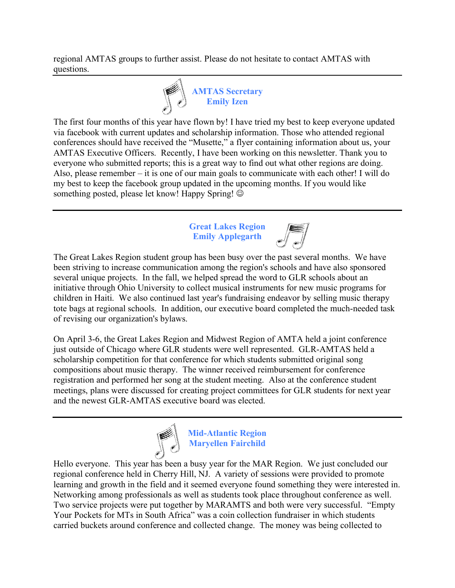regional AMTAS groups to further assist. Please do not hesitate to contact AMTAS with questions.



The first four months of this year have flown by! I have tried my best to keep everyone updated via facebook with current updates and scholarship information. Those who attended regional conferences should have received the "Musette," a flyer containing information about us, your AMTAS Executive Officers. Recently, I have been working on this newsletter. Thank you to everyone who submitted reports; this is a great way to find out what other regions are doing. Also, please remember – it is one of our main goals to communicate with each other! I will do my best to keep the facebook group updated in the upcoming months. If you would like something posted, please let know! Happy Spring!  $\odot$ 

## **Great Lakes Region Emily Applegarth**

The Great Lakes Region student group has been busy over the past several months. We have been striving to increase communication among the region's schools and have also sponsored several unique projects. In the fall, we helped spread the word to GLR schools about an initiative through Ohio University to collect musical instruments for new music programs for children in Haiti. We also continued last year's fundraising endeavor by selling music therapy tote bags at regional schools. In addition, our executive board completed the much-needed task of revising our organization's bylaws.

On April 3-6, the Great Lakes Region and Midwest Region of AMTA held a joint conference just outside of Chicago where GLR students were well represented. GLR-AMTAS held a scholarship competition for that conference for which students submitted original song compositions about music therapy. The winner received reimbursement for conference registration and performed her song at the student meeting. Also at the conference student meetings, plans were discussed for creating project committees for GLR students for next year and the newest GLR-AMTAS executive board was elected.



**Mid-Atlantic Region Maryellen Fairchild**

Hello everyone. This year has been a busy year for the MAR Region. We just concluded our regional conference held in Cherry Hill, NJ. A variety of sessions were provided to promote learning and growth in the field and it seemed everyone found something they were interested in. Networking among professionals as well as students took place throughout conference as well. Two service projects were put together by MARAMTS and both were very successful. "Empty Your Pockets for MTs in South Africa" was a coin collection fundraiser in which students carried buckets around conference and collected change. The money was being collected to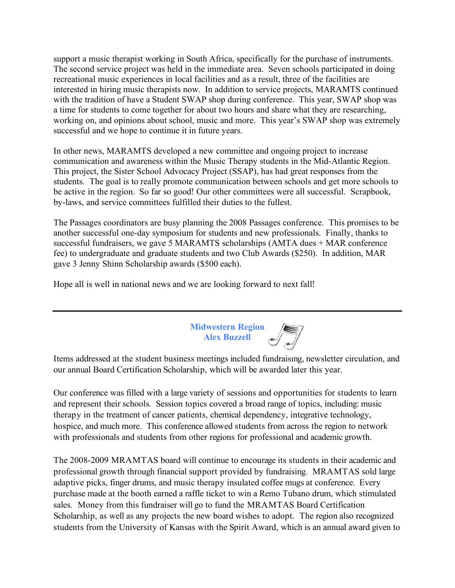support a music therapist working in South Africa, specifically for the purchase of instruments. The second service project was held in the immediate area. Seven schools participated in doing recreational music experiences in local facilities and as a result, three of the facilities are interested in hiring music therapists now. In addition to service projects, MARAMTS continued with the tradition of have a Student SWAP shop during conference. This year, SWAP shop was a time for students to come together for about two hours and share what they are researching, working on, and opinions about school, music and more. This year's SWAP shop was extremely successful and we hope to continue it in future years.

In other news, MARAMTS developed a new committee and ongoing project to increase communication and awareness within the Music Therapy students in the Mid-Atlantic Region. This project, the Sister School Advocacy Project (SSAP), has had great responses from the students. The goal is to really promote communication between schools and get more schools to be active in the region. So far so good! Our other committees were all successful. Scrapbook, by-laws, and service committees fulfilled their duties to the fullest.

The Passages coordinators are busy planning the 2008 Passages conference. This promises to be another successful one-day symposium for students and new professionals. Finally, thanks to successful fundraisers, we gave 5 MARAMTS scholarships (AMTA dues + MAR conference fee) to undergraduate and graduate students and two Club Awards (\$250). In addition, MAR gave 3 Jenny Shinn Scholarship awards (\$500 each).

Hope all is well in national news and we are looking forward to next fall!



Items addressed at the student business meetings included fundraising, newsletter circulation, and our annual Board Certification Scholarship, which will be awarded later this year.

Our conference was filled with a large variety of sessions and opportunities for students to learn and represent their schools. Session topics covered a broad range of topics, including: music therapy in the treatment of cancer patients, chemical dependency, integrative technology, hospice, and much more. This conference allowed students from across the region to network with professionals and students from other regions for professional and academic growth.

The 2008-2009 MRAMTAS board will continue to encourage its students in their academic and professional growth through financial support provided by fundraising. MRAMTAS sold large adaptive picks, finger drums, and music therapy insulated coffee mugs at conference. Every purchase made at the booth earned a raffle ticket to win a Remo Tubano drum, which stimulated sales. Money from this fundraiser will go to fund the MRAMTAS Board Certification Scholarship, as well as any projects the new board wishes to adopt. The region also recognized students from the University of Kansas with the Spirit Award, which is an annual award given to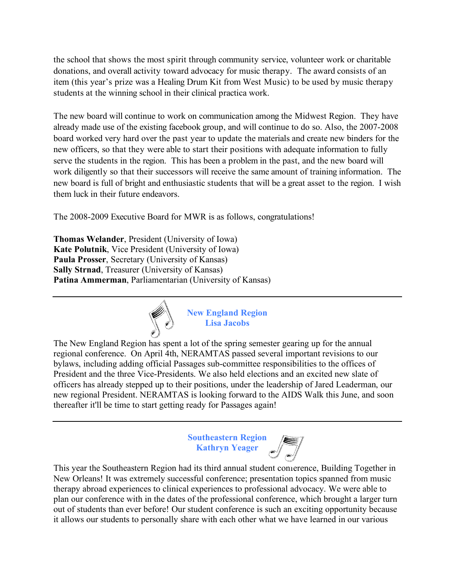the school that shows the most spirit through community service, volunteer work or charitable donations, and overall activity toward advocacy for music therapy. The award consists of an item (this year's prize was a Healing Drum Kit from West Music) to be used by music therapy students at the winning school in their clinical practica work.

The new board will continue to work on communication among the Midwest Region. They have already made use of the existing facebook group, and will continue to do so. Also, the 2007-2008 board worked very hard over the past year to update the materials and create new binders for the new officers, so that they were able to start their positions with adequate information to fully serve the students in the region. This has been a problem in the past, and the new board will work diligently so that their successors will receive the same amount of training information. The new board is full of bright and enthusiastic students that will be a great asset to the region. I wish them luck in their future endeavors.

The 2008-2009 Executive Board for MWR is as follows, congratulations!

**Thomas Welander**, President (University of Iowa) **Kate Polutnik**, Vice President (University of Iowa) **Paula Prosser**, Secretary (University of Kansas) **Sally Strnad**, Treasurer (University of Kansas) **Patina Ammerman**, Parliamentarian (University of Kansas)



**New England Region Lisa Jacobs**

The New England Region has spent a lot of the spring semester gearing up for the annual regional conference. On April 4th, NERAMTAS passed several important revisions to our bylaws, including adding official Passages sub-committee responsibilities to the offices of President and the three Vice-Presidents. We also held elections and an excited new slate of officers has already stepped up to their positions, under the leadership of Jared Leaderman, our new regional President. NERAMTAS is looking forward to the AIDS Walk this June, and soon thereafter it'll be time to start getting ready for Passages again!

> **Southeastern Region Kathryn Yeager**

This year the Southeastern Region had its third annual student conference, Building Together in New Orleans! It was extremely successful conference; presentation topics spanned from music therapy abroad experiences to clinical experiences to professional advocacy. We were able to plan our conference with in the dates of the professional conference, which brought a larger turn out of students than ever before! Our student conference is such an exciting opportunity because it allows our students to personally share with each other what we have learned in our various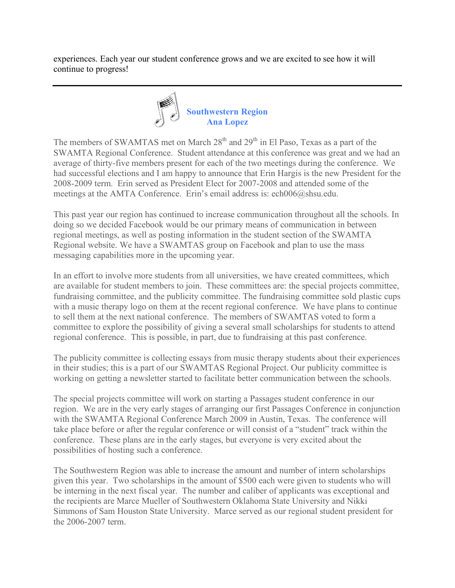experiences. Each year our student conference grows and we are excited to see how it will continue to progress!



The members of SWAMTAS met on March  $28<sup>th</sup>$  and  $29<sup>th</sup>$  in El Paso, Texas as a part of the SWAMTA Regional Conference. Student attendance at this conference was great and we had an average of thirty-five members present for each of the two meetings during the conference. We had successful elections and I am happy to announce that Erin Hargis is the new President for the 2008-2009 term. Erin served as President Elect for 2007-2008 and attended some of the meetings at the AMTA Conference. Erin's email address is: ech006@shsu.edu.

This past year our region has continued to increase communication throughout all the schools. In doing so we decided Facebook would be our primary means of communication in between regional meetings, as well as posting information in the student section of the SWAMTA Regional website. We have a SWAMTAS group on Facebook and plan to use the mass messaging capabilities more in the upcoming year.

In an effort to involve more students from all universities, we have created committees, which are available for student members to join. These committees are: the special projects committee, fundraising committee, and the publicity committee. The fundraising committee sold plastic cups with a music therapy logo on them at the recent regional conference. We have plans to continue to sell them at the next national conference. The members of SWAMTAS voted to form a committee to explore the possibility of giving a several small scholarships for students to attend regional conference. This is possible, in part, due to fundraising at this past conference.

The publicity committee is collecting essays from music therapy students about their experiences in their studies; this is a part of our SWAMTAS Regional Project. Our publicity committee is working on getting a newsletter started to facilitate better communication between the schools.

The special projects committee will work on starting a Passages student conference in our region. We are in the very early stages of arranging our first Passages Conference in conjunction with the SWAMTA Regional Conference March 2009 in Austin, Texas. The conference will take place before or after the regular conference or will consist of a "student" track within the conference. These plans are in the early stages, but everyone is very excited about the possibilities of hosting such a conference.

The Southwestern Region was able to increase the amount and number of intern scholarships given this year. Two scholarships in the amount of \$500 each were given to students who will be interning in the next fiscal year. The number and caliber of applicants was exceptional and the recipients are Marce Mueller of Southwestern Oklahoma State University and Nikki Simmons of Sam Houston State University. Marce served as our regional student president for the 2006-2007 term.